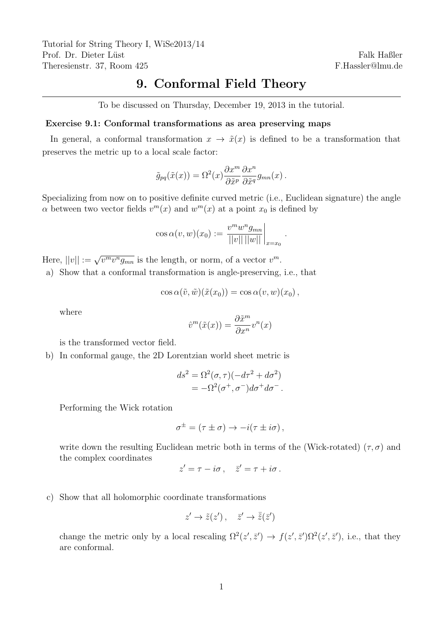Tutorial for String Theory I, WiSe2013/14 Prof. Dr. Dieter Lüst Theresienstr. 37, Room 425

Falk Haßler F.Hassler@lmu.de

# 9. Conformal Field Theory

To be discussed on Thursday, December 19, 2013 in the tutorial.

## Exercise 9.1: Conformal transformations as area preserving maps

In general, a conformal transformation  $x \to \tilde{x}(x)$  is defined to be a transformation that preserves the metric up to a local scale factor:

$$
\tilde{g}_{pq}(\tilde{x}(x)) = \Omega^2(x) \frac{\partial x^m}{\partial \tilde{x}^p} \frac{\partial x^n}{\partial \tilde{x}^q} g_{mn}(x) .
$$

Specializing from now on to positive definite curved metric (i.e., Euclidean signature) the angle  $\alpha$  between two vector fields  $v^m(x)$  and  $w^m(x)$  at a point  $x_0$  is defined by

$$
\cos \alpha(v, w)(x_0) := \frac{v^m w^n g_{mn}}{||v|| ||w||} \bigg|_{x=x_0}.
$$

Here,  $||v|| := \sqrt{v^m v^n g_{mn}}$  is the length, or norm, of a vector  $v^m$ .

a) Show that a conformal transformation is angle-preserving, i.e., that

$$
\cos \alpha(\tilde{v},\tilde{w})(\tilde{x}(x_0)) = \cos \alpha(v,w)(x_0),
$$

where

$$
\hat{v}^m(\tilde{x}(x)) = \frac{\partial \tilde{x}^m}{\partial x^n} v^n(x)
$$

is the transformed vector field.

b) In conformal gauge, the 2D Lorentzian world sheet metric is

$$
ds^{2} = \Omega^{2}(\sigma, \tau)(-d\tau^{2} + d\sigma^{2})
$$
  
=  $-\Omega^{2}(\sigma^{+}, \sigma^{-})d\sigma^{+}d\sigma^{-}$ .

Performing the Wick rotation

$$
\sigma^{\pm} = (\tau \pm \sigma) \rightarrow -i(\tau \pm i\sigma) ,
$$

write down the resulting Euclidean metric both in terms of the (Wick-rotated) ( $\tau$ ,  $\sigma$ ) and the complex coordinates

$$
z' = \tau - i\sigma \,, \quad \bar{z}' = \tau + i\sigma \,.
$$

c) Show that all holomorphic coordinate transformations

$$
z' \to \tilde{z}(z'), \quad \bar{z}' \to \bar{\tilde{z}}(\bar{z}')
$$

change the metric only by a local rescaling  $\Omega^2(z',\bar{z}') \to f(z',\bar{z}')\Omega^2(z',\bar{z}'),$  i.e., that they are conformal.